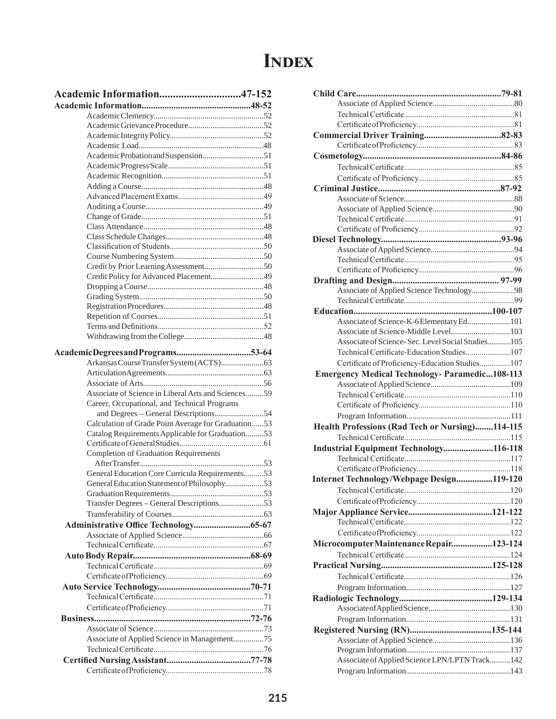## **Index**

| Academic Information47-152                          |
|-----------------------------------------------------|
|                                                     |
|                                                     |
|                                                     |
|                                                     |
|                                                     |
|                                                     |
|                                                     |
|                                                     |
|                                                     |
|                                                     |
|                                                     |
|                                                     |
|                                                     |
|                                                     |
|                                                     |
|                                                     |
|                                                     |
| Credit Policy for Advanced Placement49              |
|                                                     |
|                                                     |
|                                                     |
|                                                     |
|                                                     |
|                                                     |
|                                                     |
|                                                     |
|                                                     |
|                                                     |
| Associate of Science in Liberal Arts and Sciences59 |
| Career, Occupational, and Technical Programs        |
|                                                     |
| Calculation of Grade Point Average for Graduation53 |
| Catalog Requirements Applicable for Graduation53    |
|                                                     |
| <b>Completion of Graduation Requirements</b>        |
| General Education Core Curricula Requirements53     |
| General Education Statement of Philosophy53         |
|                                                     |
| Transfer Degrees - General Descriptions53           |
|                                                     |
|                                                     |
|                                                     |
|                                                     |
|                                                     |
|                                                     |
|                                                     |
|                                                     |
|                                                     |
|                                                     |
|                                                     |
|                                                     |
| Associate of Applied Science in Management75        |
|                                                     |
|                                                     |
|                                                     |

| Associate of Applied Science Technology98                                                 |  |
|-------------------------------------------------------------------------------------------|--|
|                                                                                           |  |
|                                                                                           |  |
| Associate of Science-K-6Elementary Ed101                                                  |  |
| Associate of Science-Middle Level103<br>Associate of Science-Sec. Level Social Studies105 |  |
|                                                                                           |  |
| Technical Certificate-Education Studies107                                                |  |
| Certificate of Proficiency-Education Studies107                                           |  |
| <b>Emergency Medical Technology- Paramedic108-113</b>                                     |  |
|                                                                                           |  |
|                                                                                           |  |
|                                                                                           |  |
|                                                                                           |  |
|                                                                                           |  |
| Health Professions (Rad Tech or Nursing)114-115                                           |  |
|                                                                                           |  |
| Industrial Equipment Technology116-118                                                    |  |
|                                                                                           |  |
|                                                                                           |  |
| Internet Technology/Webpage Design119-120                                                 |  |
|                                                                                           |  |
|                                                                                           |  |
|                                                                                           |  |
|                                                                                           |  |
|                                                                                           |  |
| Microcomputer Maintenance Repair123-124                                                   |  |
|                                                                                           |  |
|                                                                                           |  |
|                                                                                           |  |
|                                                                                           |  |
|                                                                                           |  |
|                                                                                           |  |
|                                                                                           |  |
|                                                                                           |  |
|                                                                                           |  |
|                                                                                           |  |
| Associate of Applied Science LPN/LPTN Track142                                            |  |